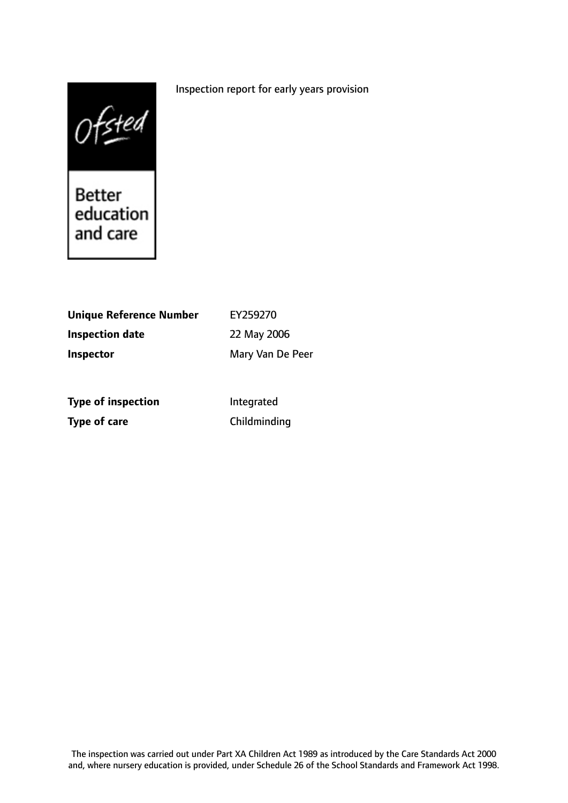### Inspection report for early years provision

 $0$  f sted<br>Better<br>education

and care

| Unique Reference Number | EY259270         |
|-------------------------|------------------|
| <b>Inspection date</b>  | 22 May 2006      |
| <b>Inspector</b>        | Mary Van De Peer |
|                         |                  |
|                         |                  |

**Type of inspection** Integrated **Type of care** Childminding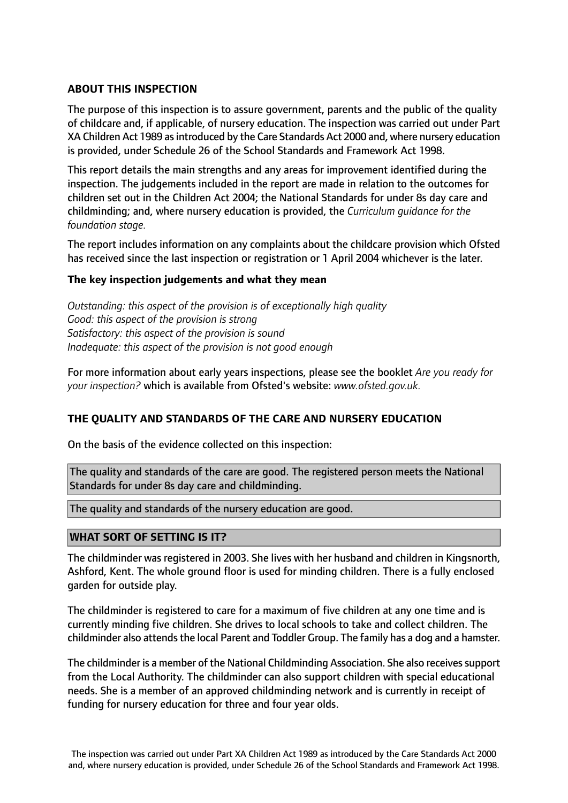# **ABOUT THIS INSPECTION**

The purpose of this inspection is to assure government, parents and the public of the quality of childcare and, if applicable, of nursery education. The inspection was carried out under Part XA Children Act 1989 as introduced by the Care Standards Act 2000 and, where nursery education is provided, under Schedule 26 of the School Standards and Framework Act 1998.

This report details the main strengths and any areas for improvement identified during the inspection. The judgements included in the report are made in relation to the outcomes for children set out in the Children Act 2004; the National Standards for under 8s day care and childminding; and, where nursery education is provided, the *Curriculum guidance for the foundation stage.*

The report includes information on any complaints about the childcare provision which Ofsted has received since the last inspection or registration or 1 April 2004 whichever is the later.

## **The key inspection judgements and what they mean**

*Outstanding: this aspect of the provision is of exceptionally high quality Good: this aspect of the provision is strong Satisfactory: this aspect of the provision is sound Inadequate: this aspect of the provision is not good enough*

For more information about early years inspections, please see the booklet *Are you ready for your inspection?* which is available from Ofsted's website: *www.ofsted.gov.uk.*

## **THE QUALITY AND STANDARDS OF THE CARE AND NURSERY EDUCATION**

On the basis of the evidence collected on this inspection:

The quality and standards of the care are good. The registered person meets the National Standards for under 8s day care and childminding.

The quality and standards of the nursery education are good.

## **WHAT SORT OF SETTING IS IT?**

The childminder was registered in 2003. She lives with her husband and children in Kingsnorth, Ashford, Kent. The whole ground floor is used for minding children. There is a fully enclosed garden for outside play.

The childminder is registered to care for a maximum of five children at any one time and is currently minding five children. She drives to local schools to take and collect children. The childminder also attends the local Parent and Toddler Group. The family has a dog and a hamster.

The childminder is a member of the National Childminding Association. She also receivessupport from the Local Authority. The childminder can also support children with special educational needs. She is a member of an approved childminding network and is currently in receipt of funding for nursery education for three and four year olds.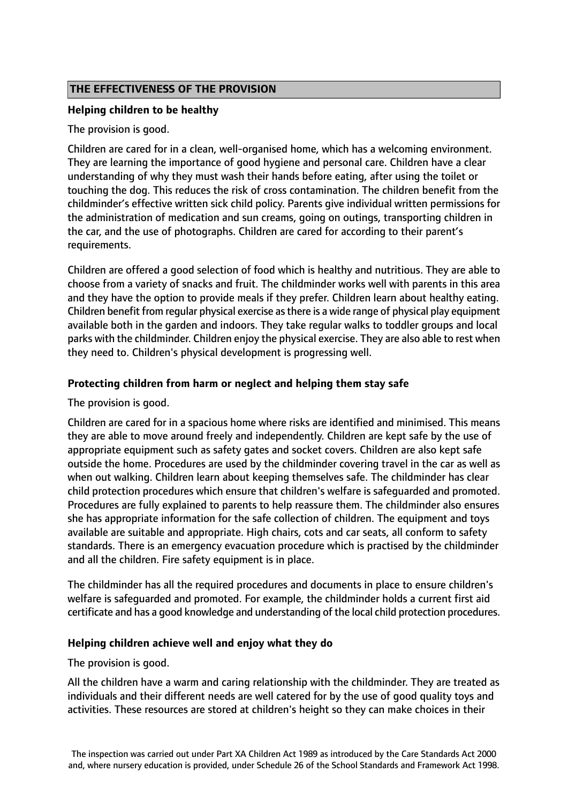# **THE EFFECTIVENESS OF THE PROVISION**

### **Helping children to be healthy**

The provision is good.

Children are cared for in a clean, well-organised home, which has a welcoming environment. They are learning the importance of good hygiene and personal care. Children have a clear understanding of why they must wash their hands before eating, after using the toilet or touching the dog. This reduces the risk of cross contamination. The children benefit from the childminder's effective written sick child policy. Parents give individual written permissions for the administration of medication and sun creams, going on outings, transporting children in the car, and the use of photographs. Children are cared for according to their parent's requirements.

Children are offered a good selection of food which is healthy and nutritious. They are able to choose from a variety of snacks and fruit. The childminder works well with parents in this area and they have the option to provide meals if they prefer. Children learn about healthy eating. Children benefit from regular physical exercise asthere is a wide range of physical play equipment available both in the garden and indoors. They take regular walks to toddler groups and local parks with the childminder. Children enjoy the physical exercise. They are also able to rest when they need to. Children's physical development is progressing well.

## **Protecting children from harm or neglect and helping them stay safe**

The provision is good.

Children are cared for in a spacious home where risks are identified and minimised. This means they are able to move around freely and independently. Children are kept safe by the use of appropriate equipment such as safety gates and socket covers. Children are also kept safe outside the home. Procedures are used by the childminder covering travel in the car as well as when out walking. Children learn about keeping themselves safe. The childminder has clear child protection procedures which ensure that children's welfare is safeguarded and promoted. Procedures are fully explained to parents to help reassure them. The childminder also ensures she has appropriate information for the safe collection of children. The equipment and toys available are suitable and appropriate. High chairs, cots and car seats, all conform to safety standards. There is an emergency evacuation procedure which is practised by the childminder and all the children. Fire safety equipment is in place.

The childminder has all the required procedures and documents in place to ensure children's welfare is safeguarded and promoted. For example, the childminder holds a current first aid certificate and has a good knowledge and understanding of the local child protection procedures.

## **Helping children achieve well and enjoy what they do**

The provision is good.

All the children have a warm and caring relationship with the childminder. They are treated as individuals and their different needs are well catered for by the use of good quality toys and activities. These resources are stored at children's height so they can make choices in their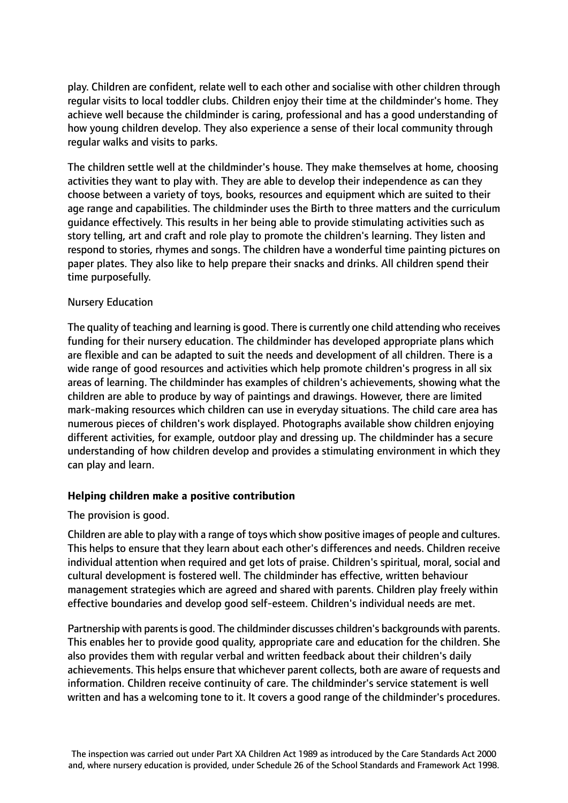play. Children are confident, relate well to each other and socialise with other children through regular visits to local toddler clubs. Children enjoy their time at the childminder's home. They achieve well because the childminder is caring, professional and has a good understanding of how young children develop. They also experience a sense of their local community through regular walks and visits to parks.

The children settle well at the childminder's house. They make themselves at home, choosing activities they want to play with. They are able to develop their independence as can they choose between a variety of toys, books, resources and equipment which are suited to their age range and capabilities. The childminder uses the Birth to three matters and the curriculum guidance effectively. This results in her being able to provide stimulating activities such as story telling, art and craft and role play to promote the children's learning. They listen and respond to stories, rhymes and songs. The children have a wonderful time painting pictures on paper plates. They also like to help prepare their snacks and drinks. All children spend their time purposefully.

### Nursery Education

The quality of teaching and learning is good. There is currently one child attending who receives funding for their nursery education. The childminder has developed appropriate plans which are flexible and can be adapted to suit the needs and development of all children. There is a wide range of good resources and activities which help promote children's progress in all six areas of learning. The childminder has examples of children's achievements, showing what the children are able to produce by way of paintings and drawings. However, there are limited mark-making resources which children can use in everyday situations. The child care area has numerous pieces of children's work displayed. Photographs available show children enjoying different activities, for example, outdoor play and dressing up. The childminder has a secure understanding of how children develop and provides a stimulating environment in which they can play and learn.

#### **Helping children make a positive contribution**

#### The provision is good.

Children are able to play with a range of toys which show positive images of people and cultures. This helps to ensure that they learn about each other's differences and needs. Children receive individual attention when required and get lots of praise. Children's spiritual, moral, social and cultural development is fostered well. The childminder has effective, written behaviour management strategies which are agreed and shared with parents. Children play freely within effective boundaries and develop good self-esteem. Children's individual needs are met.

Partnership with parents is good. The childminder discusses children's backgrounds with parents. This enables her to provide good quality, appropriate care and education for the children. She also provides them with regular verbal and written feedback about their children's daily achievements. This helps ensure that whichever parent collects, both are aware of requests and information. Children receive continuity of care. The childminder's service statement is well written and has a welcoming tone to it. It covers a good range of the childminder's procedures.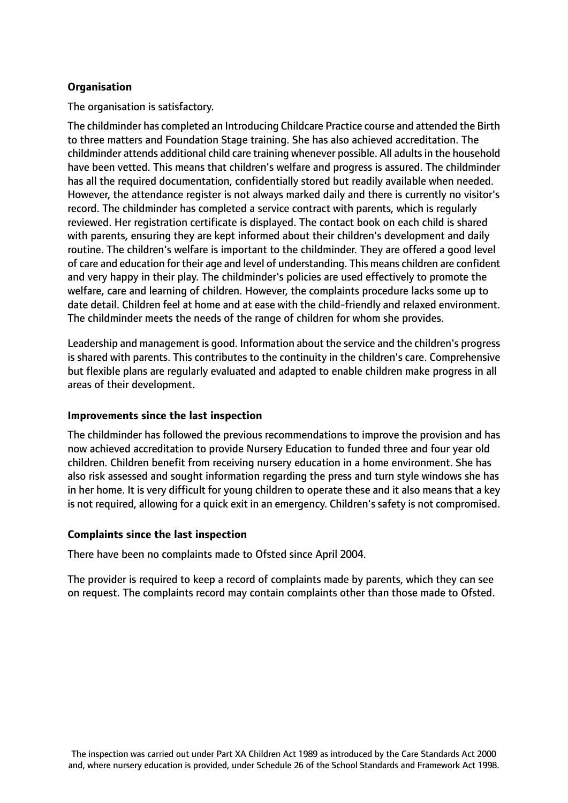# **Organisation**

The organisation is satisfactory.

The childminder has completed an Introducing Childcare Practice course and attended the Birth to three matters and Foundation Stage training. She has also achieved accreditation. The childminder attends additional child care training whenever possible. All adults in the household have been vetted. This means that children's welfare and progress is assured. The childminder has all the required documentation, confidentially stored but readily available when needed. However, the attendance register is not always marked daily and there is currently no visitor's record. The childminder has completed a service contract with parents, which is regularly reviewed. Her registration certificate is displayed. The contact book on each child is shared with parents, ensuring they are kept informed about their children's development and daily routine. The children's welfare is important to the childminder. They are offered a good level of care and education for their age and level of understanding. This means children are confident and very happy in their play. The childminder's policies are used effectively to promote the welfare, care and learning of children. However, the complaints procedure lacks some up to date detail. Children feel at home and at ease with the child-friendly and relaxed environment. The childminder meets the needs of the range of children for whom she provides.

Leadership and management is good. Information about the service and the children's progress is shared with parents. This contributes to the continuity in the children's care. Comprehensive but flexible plans are regularly evaluated and adapted to enable children make progress in all areas of their development.

#### **Improvements since the last inspection**

The childminder has followed the previous recommendations to improve the provision and has now achieved accreditation to provide Nursery Education to funded three and four year old children. Children benefit from receiving nursery education in a home environment. She has also risk assessed and sought information regarding the press and turn style windows she has in her home. It is very difficult for young children to operate these and it also means that a key is not required, allowing for a quick exit in an emergency. Children's safety is not compromised.

#### **Complaints since the last inspection**

There have been no complaints made to Ofsted since April 2004.

The provider is required to keep a record of complaints made by parents, which they can see on request. The complaints record may contain complaints other than those made to Ofsted.